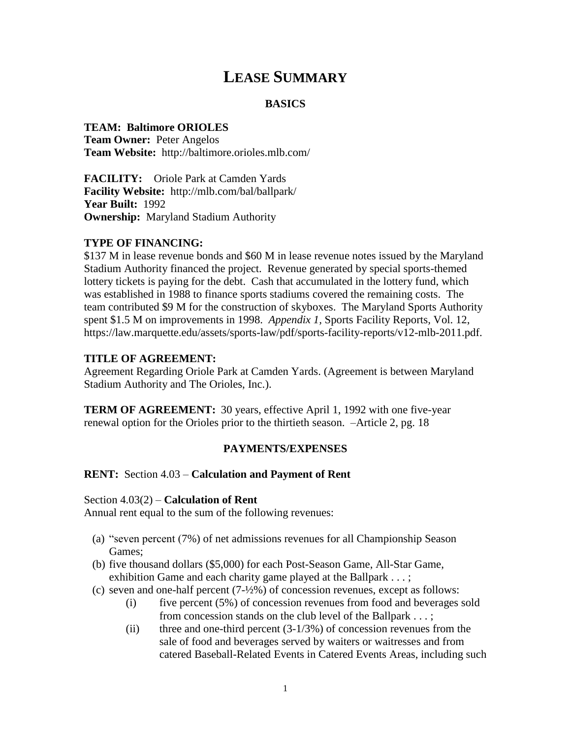# **LEASE SUMMARY**

## **BASICS**

#### **TEAM: Baltimore ORIOLES**

**Team Owner:** Peter Angelos **Team Website:** http://baltimore.orioles.mlb.com/

**FACILITY:** Oriole Park at Camden Yards **Facility Website:** http://mlb.com/bal/ballpark/ **Year Built:** 1992 **Ownership:** Maryland Stadium Authority

#### **TYPE OF FINANCING:**

\$137 M in lease revenue bonds and \$60 M in lease revenue notes issued by the Maryland Stadium Authority financed the project. Revenue generated by special sports-themed lottery tickets is paying for the debt. Cash that accumulated in the lottery fund, which was established in 1988 to finance sports stadiums covered the remaining costs. The team contributed \$9 M for the construction of skyboxes. The Maryland Sports Authority spent \$1.5 M on improvements in 1998. *Appendix 1,* Sports Facility Reports*,* Vol. 12, https://law.marquette.edu/assets/sports-law/pdf/sports-facility-reports/v12-mlb-2011.pdf.

#### **TITLE OF AGREEMENT:**

Agreement Regarding Oriole Park at Camden Yards. (Agreement is between Maryland Stadium Authority and The Orioles, Inc.).

**TERM OF AGREEMENT:** 30 years, effective April 1, 1992 with one five-year renewal option for the Orioles prior to the thirtieth season. –Article 2, pg. 18

## **PAYMENTS/EXPENSES**

#### **RENT:** Section 4.03 – **Calculation and Payment of Rent**

#### Section 4.03(2) – **Calculation of Rent**

Annual rent equal to the sum of the following revenues:

- (a) "seven percent (7%) of net admissions revenues for all Championship Season Games;
- (b) five thousand dollars (\$5,000) for each Post-Season Game, All-Star Game, exhibition Game and each charity game played at the Ballpark . . . ;
- (c) seven and one-half percent (7-½%) of concession revenues, except as follows:
	- (i) five percent (5%) of concession revenues from food and beverages sold from concession stands on the club level of the Ballpark . . . ;
	- (ii) three and one-third percent  $(3-1/3%)$  of concession revenues from the sale of food and beverages served by waiters or waitresses and from catered Baseball-Related Events in Catered Events Areas, including such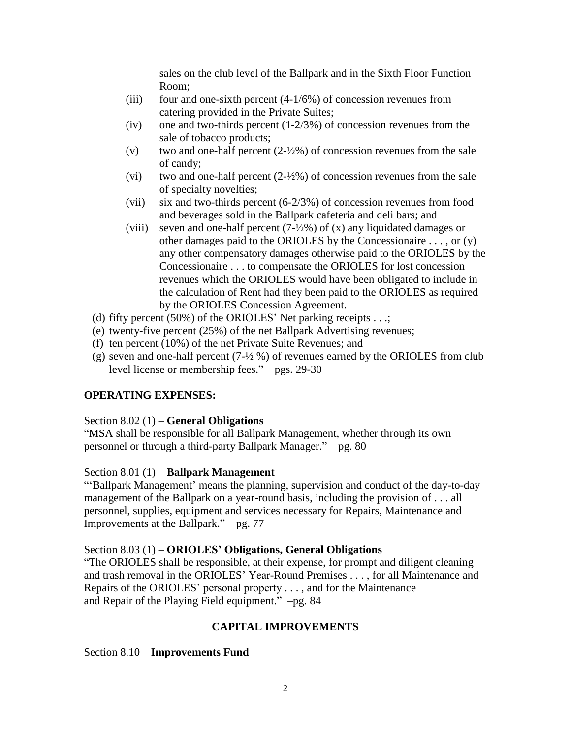sales on the club level of the Ballpark and in the Sixth Floor Function Room;

- (iii) four and one-sixth percent  $(4-1/6%)$  of concession revenues from catering provided in the Private Suites;
- (iv) one and two-thirds percent  $(1-2/3%)$  of concession revenues from the sale of tobacco products;
- (v) two and one-half percent  $(2-\frac{1}{2}\%)$  of concession revenues from the sale of candy;
- (vi) two and one-half percent  $(2\frac{1}{2}\%)$  of concession revenues from the sale of specialty novelties;
- (vii) six and two-thirds percent (6-2/3%) of concession revenues from food and beverages sold in the Ballpark cafeteria and deli bars; and
- (viii) seven and one-half percent  $(7-1/2)$ %) of (x) any liquidated damages or other damages paid to the ORIOLES by the Concessionaire . . . , or (y) any other compensatory damages otherwise paid to the ORIOLES by the Concessionaire . . . to compensate the ORIOLES for lost concession revenues which the ORIOLES would have been obligated to include in the calculation of Rent had they been paid to the ORIOLES as required by the ORIOLES Concession Agreement.
- (d) fifty percent  $(50\%)$  of the ORIOLES' Net parking receipts . . .;
- (e) twenty-five percent (25%) of the net Ballpark Advertising revenues;
- (f) ten percent (10%) of the net Private Suite Revenues; and
- (g) seven and one-half percent  $(7\frac{1}{2}$  %) of revenues earned by the ORIOLES from club level license or membership fees." –pgs. 29-30

# **OPERATING EXPENSES:**

## Section 8.02 (1) – **General Obligations**

"MSA shall be responsible for all Ballpark Management, whether through its own personnel or through a third-party Ballpark Manager." –pg. 80

## Section 8.01 (1) – **Ballpark Management**

"'Ballpark Management' means the planning, supervision and conduct of the day-to-day management of the Ballpark on a year-round basis, including the provision of . . . all personnel, supplies, equipment and services necessary for Repairs, Maintenance and Improvements at the Ballpark." –pg. 77

## Section 8.03 (1) – **ORIOLES' Obligations, General Obligations**

"The ORIOLES shall be responsible, at their expense, for prompt and diligent cleaning and trash removal in the ORIOLES' Year-Round Premises . . . , for all Maintenance and Repairs of the ORIOLES' personal property . . . , and for the Maintenance and Repair of the Playing Field equipment." –pg. 84

# **CAPITAL IMPROVEMENTS**

## Section 8.10 – **Improvements Fund**